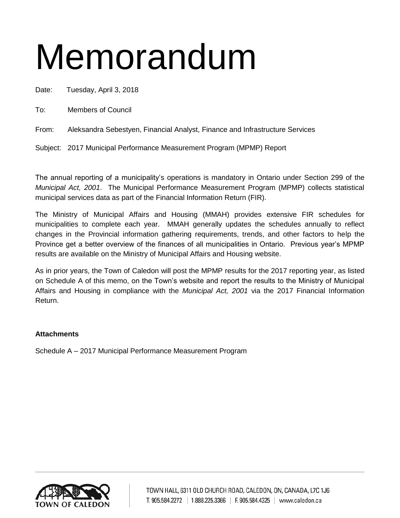# Memorandum

Date: Tuesday, April 3, 2018

To: Members of Council

From: Aleksandra Sebestyen, Financial Analyst, Finance and Infrastructure Services

Subject: 2017 Municipal Performance Measurement Program (MPMP) Report

The annual reporting of a municipality's operations is mandatory in Ontario under Section 299 of the *Municipal Act, 2001*. The Municipal Performance Measurement Program (MPMP) collects statistical municipal services data as part of the Financial Information Return (FIR).

The Ministry of Municipal Affairs and Housing (MMAH) provides extensive FIR schedules for municipalities to complete each year. MMAH generally updates the schedules annually to reflect changes in the Provincial information gathering requirements, trends, and other factors to help the Province get a better overview of the finances of all municipalities in Ontario. Previous year's MPMP results are available on the Ministry of Municipal Affairs and Housing website.

As in prior years, the Town of Caledon will post the MPMP results for the 2017 reporting year, as listed on Schedule A of this memo, on the Town's website and report the results to the Ministry of Municipal Affairs and Housing in compliance with the *Municipal Act, 2001* via the 2017 Financial Information Return.

### **Attachments**

Schedule A – 2017 Municipal Performance Measurement Program

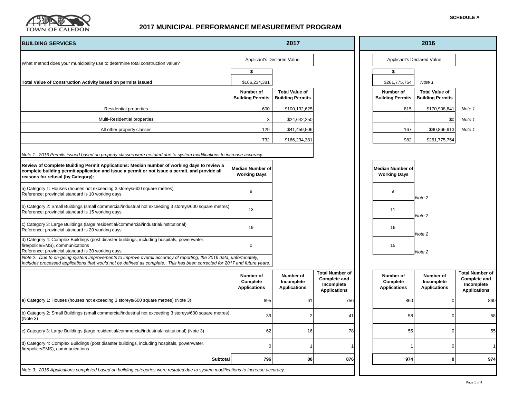

| <b>SCHEDULE A</b> |  |
|-------------------|--|
|-------------------|--|

| <b>BUILDING SERVICES</b>                                                                                                                                                                                                                         | 2017                                           |                                                  |                                                                                    |  | 2016                                         |                                                  |                                                                                    |  |
|--------------------------------------------------------------------------------------------------------------------------------------------------------------------------------------------------------------------------------------------------|------------------------------------------------|--------------------------------------------------|------------------------------------------------------------------------------------|--|----------------------------------------------|--------------------------------------------------|------------------------------------------------------------------------------------|--|
| What method does your municipality use to determine total construction value?                                                                                                                                                                    |                                                | Applicant's Declared Value                       |                                                                                    |  |                                              | Applicant's Declared Value                       |                                                                                    |  |
|                                                                                                                                                                                                                                                  | \$                                             |                                                  |                                                                                    |  | \$                                           |                                                  |                                                                                    |  |
| Total Value of Construction Activity based on permits issued                                                                                                                                                                                     | \$166,234,381                                  |                                                  |                                                                                    |  | \$261,775,754                                | Note 1                                           |                                                                                    |  |
|                                                                                                                                                                                                                                                  | Number of<br><b>Building Permits</b>           | <b>Total Value of</b><br><b>Building Permits</b> |                                                                                    |  | Number of<br><b>Building Permits</b>         | <b>Total Value of</b><br><b>Building Permits</b> |                                                                                    |  |
| <b>Residential properties</b>                                                                                                                                                                                                                    | 600                                            | \$100,132,625                                    |                                                                                    |  | 815                                          | \$170,908,841                                    | Note 1                                                                             |  |
| Multi-Residential properties                                                                                                                                                                                                                     | 3                                              | \$24,642,250                                     |                                                                                    |  |                                              | \$0                                              | Note 1                                                                             |  |
| All other property classes                                                                                                                                                                                                                       | 129                                            | \$41,459,506                                     |                                                                                    |  | 167                                          | \$90,866,913                                     | Note 1                                                                             |  |
|                                                                                                                                                                                                                                                  | 732                                            | \$166,234,381                                    |                                                                                    |  | 982                                          | \$261,775,754                                    |                                                                                    |  |
| Note 1: 2016 Permits issued based on property classes were restated due to system modifications to increase accuracy.                                                                                                                            |                                                |                                                  |                                                                                    |  |                                              |                                                  |                                                                                    |  |
| Review of Complete Building Permit Applications: Median number of working days to review a<br>complete building permit application and issue a permit or not issue a permit, and provide all<br>reasons for refusal (by Category):               | <b>Median Number of</b><br><b>Working Days</b> |                                                  |                                                                                    |  | Median Number of<br><b>Working Days</b>      |                                                  |                                                                                    |  |
| a) Category 1: Houses (houses not exceeding 3 storeys/600 square metres)<br>Reference: provincial standard is 10 working days                                                                                                                    | 9                                              |                                                  |                                                                                    |  | 9                                            | Note 2                                           |                                                                                    |  |
| b) Category 2: Small Buildings (small commercial/industrial not exceeding 3 storeys/600 square metres)<br>Reference: provincial standard is 15 working days                                                                                      | 13                                             |                                                  |                                                                                    |  | 11                                           | Note 2                                           |                                                                                    |  |
| c) Category 3: Large Buildings (large residential/commercial/industrial/institutional)<br>Reference: provincial standard is 20 working days                                                                                                      | 19                                             |                                                  |                                                                                    |  | 16                                           | Note <sub>2</sub>                                |                                                                                    |  |
| d) Category 4: Complex Buildings (post disaster buildings, including hospitals, power/water,<br>fire/police/EMS), communications<br>Reference: provincial standard is 30 working days                                                            | $\mathbf 0$                                    |                                                  |                                                                                    |  | 15                                           | Note 2                                           |                                                                                    |  |
| Note 2: Due to on-going system improvements to improve overall accuracy of reporting, the 2016 data, unfortunately,<br>includes processed applications that would not be defined as complete. This has been corrected for 2017 and future years. |                                                |                                                  |                                                                                    |  |                                              |                                                  |                                                                                    |  |
|                                                                                                                                                                                                                                                  | Number of<br>Complete<br><b>Applications</b>   | Number of<br>Incomplete<br><b>Applications</b>   | <b>Total Number of</b><br><b>Complete and</b><br>Incomplete<br><b>Applications</b> |  | Number of<br>Complete<br><b>Applications</b> | Number of<br>Incomplete<br><b>Applications</b>   | <b>Total Number of</b><br><b>Complete and</b><br>Incomplete<br><b>Applications</b> |  |
| a) Category 1: Houses (houses not exceeding 3 storeys/600 square metres) (Note 3)                                                                                                                                                                | 695                                            | 61                                               | 756                                                                                |  | 860                                          | $\Omega$                                         | 860                                                                                |  |
| b) Category 2: Small Buildings (small commercial/industrial not exceeding 3 storeys/600 square metres)<br>(Note 3)                                                                                                                               | 39                                             |                                                  | 41                                                                                 |  | 58                                           | $\Omega$                                         | 58                                                                                 |  |
| c) Category 3: Large Buildings (large residential/commercial/industrial/institutional) (Note 3)                                                                                                                                                  | 62                                             | 16                                               | 78                                                                                 |  | 55                                           | $\Omega$                                         | 55                                                                                 |  |
| d) Category 4: Complex Buildings (post disaster buildings, including hospitals, power/water,<br>fire/police/EMS), communications                                                                                                                 | O                                              |                                                  |                                                                                    |  |                                              | $\Omega$                                         |                                                                                    |  |
| Subtotal                                                                                                                                                                                                                                         | 796                                            | 80                                               | 876                                                                                |  | 974                                          | $\mathbf{0}$                                     | 974                                                                                |  |
| Note 3: 2016 Applications completed based on building categories were restated due to system modifications to increase accuracy.                                                                                                                 |                                                |                                                  |                                                                                    |  |                                              |                                                  |                                                                                    |  |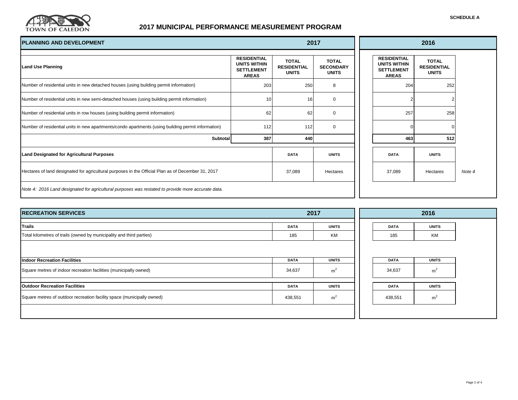

| <b>PLANNING AND DEVELOPMENT</b>                                                                    | 2017                                                                    |                                                    |                                                  | 2016 |                                                                                |                                                    |        |
|----------------------------------------------------------------------------------------------------|-------------------------------------------------------------------------|----------------------------------------------------|--------------------------------------------------|------|--------------------------------------------------------------------------------|----------------------------------------------------|--------|
| <b>Land Use Planning</b>                                                                           | <b>RESIDENTIAL</b><br>UNITS WITHIN<br><b>SETTLEMENT</b><br><b>AREAS</b> | <b>TOTAL</b><br><b>RESIDENTIAL</b><br><b>UNITS</b> | <b>TOTAL</b><br><b>SECONDARY</b><br><b>UNITS</b> |      | <b>RESIDENTIAL</b><br><b>UNITS WITHIN</b><br><b>SETTLEMENT</b><br><b>AREAS</b> | <b>TOTAL</b><br><b>RESIDENTIAL</b><br><b>UNITS</b> |        |
| Number of residential units in new detached houses (using building permit information)             | 203                                                                     | 250                                                | 8                                                |      | 204                                                                            | 252                                                |        |
| Number of residential units in new semi-detached houses (using building permit information)        | 10 <sup>1</sup>                                                         | 16                                                 | $\mathbf 0$                                      |      |                                                                                |                                                    |        |
| Number of residential units in row houses (using building permit information)                      | 62                                                                      | 62                                                 | $\mathbf 0$                                      |      | 257                                                                            | 258                                                |        |
| Number of residential units in new apartments/condo apartments (using building permit information) | 112                                                                     | 112                                                | 0                                                |      |                                                                                | $\Omega$                                           |        |
| <b>Subtotal</b>                                                                                    | 387                                                                     | 440                                                |                                                  |      | 463                                                                            | 512                                                |        |
| <b>Land Designated for Agricultural Purposes</b>                                                   |                                                                         | <b>DATA</b>                                        | <b>UNITS</b>                                     |      | <b>DATA</b>                                                                    | <b>UNITS</b>                                       |        |
| Hectares of land designated for agricultural purposes in the Official Plan as of December 31, 2017 |                                                                         | 37,089                                             | Hectares                                         |      | 37,089                                                                         | Hectares                                           | Note 4 |
| Note 4: 2016 Land designated for agricultural purposes was restated to provide more accurate data. |                                                                         |                                                    |                                                  |      |                                                                                |                                                    |        |

| 2017        |                | 2016        |                |  |
|-------------|----------------|-------------|----------------|--|
| <b>DATA</b> | <b>UNITS</b>   | <b>DATA</b> | <b>UNITS</b>   |  |
| 185         | KM             | 185         | KM             |  |
|             |                |             |                |  |
| DATA        | <b>UNITS</b>   | <b>DATA</b> | <b>UNITS</b>   |  |
| 34,637      | m <sup>2</sup> | 34,637      | m <sup>2</sup> |  |
| <b>DATA</b> | <b>UNITS</b>   | <b>DATA</b> | <b>UNITS</b>   |  |
| 438,551     | m <sup>2</sup> | 438,551     | m <sup>2</sup> |  |
|             |                |             |                |  |
|             |                |             |                |  |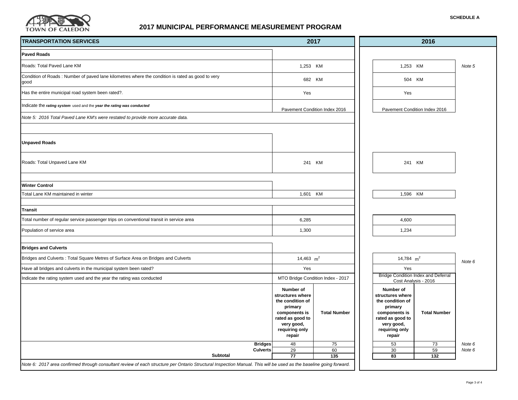

| <b>TRANSPORTATION SERVICES</b>                                                                           | 2017                                                                                                                                        |                                   | 2016                                                                                                                                        |                                                                    |                  |
|----------------------------------------------------------------------------------------------------------|---------------------------------------------------------------------------------------------------------------------------------------------|-----------------------------------|---------------------------------------------------------------------------------------------------------------------------------------------|--------------------------------------------------------------------|------------------|
| <b>Paved Roads</b>                                                                                       |                                                                                                                                             |                                   |                                                                                                                                             |                                                                    |                  |
| Roads: Total Paved Lane KM                                                                               |                                                                                                                                             | 1,253 KM                          |                                                                                                                                             | 1,253 KM                                                           | Note 5           |
| Condition of Roads: Number of paved lane kilometres where the condition is rated as good to very<br>good |                                                                                                                                             | 682 KM                            |                                                                                                                                             | 504 KM                                                             |                  |
| Has the entire municipal road system been rated?.                                                        | Yes                                                                                                                                         |                                   | Yes                                                                                                                                         |                                                                    |                  |
| Indicate the rating system used and the year the rating was conducted                                    |                                                                                                                                             | Pavement Condition Index 2016     | Pavement Condition Index 2016                                                                                                               |                                                                    |                  |
| Note 5: 2016 Total Paved Lane KM's were restated to provide more accurate data.                          |                                                                                                                                             |                                   |                                                                                                                                             |                                                                    |                  |
|                                                                                                          |                                                                                                                                             |                                   |                                                                                                                                             |                                                                    |                  |
| <b>Unpaved Roads</b>                                                                                     |                                                                                                                                             |                                   |                                                                                                                                             |                                                                    |                  |
| Roads: Total Unpaved Lane KM                                                                             |                                                                                                                                             | 241 KM                            |                                                                                                                                             | 241 KM                                                             |                  |
| <b>Winter Control</b>                                                                                    |                                                                                                                                             |                                   |                                                                                                                                             |                                                                    |                  |
| Total Lane KM maintained in winter                                                                       | KM<br>1,601                                                                                                                                 |                                   | 1,596 KM                                                                                                                                    |                                                                    |                  |
| <b>Transit</b>                                                                                           |                                                                                                                                             |                                   |                                                                                                                                             |                                                                    |                  |
| Total number of regular service passenger trips on conventional transit in service area                  | 6,285                                                                                                                                       |                                   | 4,600                                                                                                                                       |                                                                    |                  |
| Population of service area                                                                               |                                                                                                                                             | 1,300                             |                                                                                                                                             | 1,234                                                              |                  |
| <b>Bridges and Culverts</b>                                                                              |                                                                                                                                             |                                   |                                                                                                                                             |                                                                    |                  |
| Bridges and Culverts: Total Square Metres of Surface Area on Bridges and Culverts                        | 14,463 $m^2$                                                                                                                                |                                   | 14,784 $m^2$                                                                                                                                |                                                                    | Note 6           |
| Have all bridges and culverts in the municipal system been rated?                                        |                                                                                                                                             | Yes                               |                                                                                                                                             | Yes                                                                |                  |
| Indicate the rating system used and the year the rating was conducted                                    |                                                                                                                                             | MTO Bridge Condition Index - 2017 |                                                                                                                                             | <b>Bridge Condition Index and Deferral</b><br>Cost Analysis - 2016 |                  |
|                                                                                                          | Number of<br>structures where<br>the condition of<br>primary<br>components is<br>rated as good to<br>very good,<br>requiring only<br>repair | <b>Total Number</b>               | Number of<br>structures where<br>the condition of<br>primary<br>components is<br>rated as good to<br>very good,<br>requiring only<br>repair | <b>Total Number</b>                                                |                  |
| <b>Bridges</b><br><b>Culverts</b>                                                                        | 48<br>29                                                                                                                                    | 75<br>60                          | 53<br>30                                                                                                                                    | 73<br>59                                                           | Note 6<br>Note 6 |
| Subtotal                                                                                                 | 77                                                                                                                                          | 135                               | 83                                                                                                                                          | 132                                                                |                  |